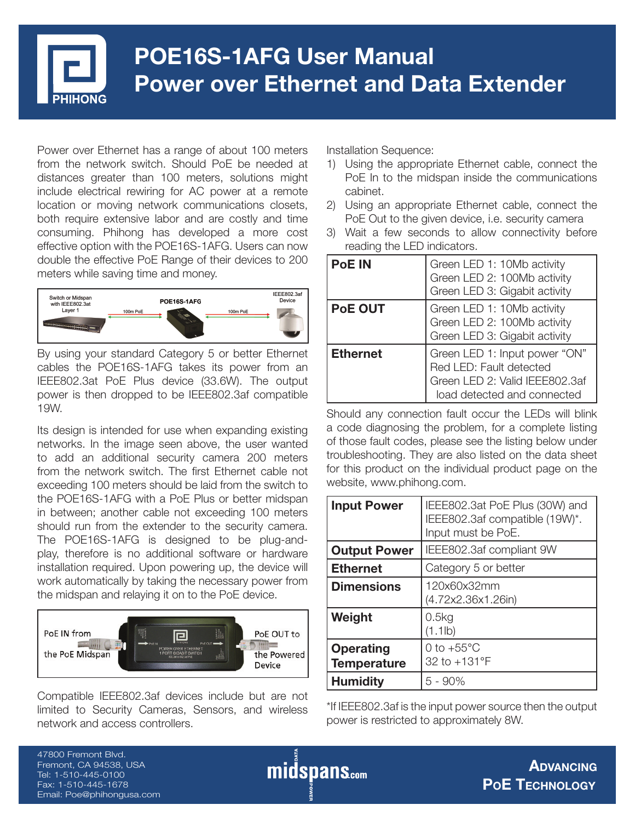

# **POE16S-1AFG User Manual Power over Ethernet and Data Extender**

Power over Ethernet has a range of about 100 meters from the network switch. Should PoE be needed at distances greater than 100 meters, solutions might include electrical rewiring for AC power at a remote location or moving network communications closets, both require extensive labor and are costly and time consuming. Phihong has developed a more cost effective option with the POE16S-1AFG. Users can now double the effective PoE Range of their devices to 200 meters while saving time and money.



By using your standard Category 5 or better Ethernet cables the POE16S-1AFG takes its power from an IEEE802.3at PoE Plus device (33.6W). The output power is then dropped to be IEEE802.3af compatible 19W.

Its design is intended for use when expanding existing networks. In the image seen above, the user wanted to add an additional security camera 200 meters from the network switch. The first Ethernet cable not exceeding 100 meters should be laid from the switch to the POE16S-1AFG with a PoE Plus or better midspan in between; another cable not exceeding 100 meters should run from the extender to the security camera. The POE16S-1AFG is designed to be plug-andplay, therefore is no additional software or hardware installation required. Upon powering up, the device will work automatically by taking the necessary power from the midspan and relaying it on to the PoE device.



Compatible IEEE802.3af devices include but are not limited to Security Cameras, Sensors, and wireless network and access controllers.

Installation Sequence:

- 1) Using the appropriate Ethernet cable, connect the PoE In to the midspan inside the communications cabinet.
- 2) Using an appropriate Ethernet cable, connect the PoE Out to the given device, i.e. security camera
- 3) Wait a few seconds to allow connectivity before reading the LED indicators.

| <b>PoE IN</b>   | Green LED 1: 10Mb activity<br>Green LED 2: 100Mb activity<br>Green LED 3: Gigabit activity                                |
|-----------------|---------------------------------------------------------------------------------------------------------------------------|
| <b>PoE OUT</b>  | Green LED 1: 10Mb activity<br>Green LED 2: 100Mb activity<br>Green LED 3: Gigabit activity                                |
| <b>Ethernet</b> | Green LED 1: Input power "ON"<br>Red LED: Fault detected<br>Green LED 2: Valid IEEE802.3af<br>load detected and connected |

Should any connection fault occur the LEDs will blink a code diagnosing the problem, for a complete listing of those fault codes, please see the listing below under troubleshooting. They are also listed on the data sheet for this product on the individual product page on the website, www.phihong.com.

| <b>Input Power</b>                     | IEEE802.3at PoE Plus (30W) and<br>IEEE802.3af compatible (19W)*.<br>Input must be PoE. |  |
|----------------------------------------|----------------------------------------------------------------------------------------|--|
| <b>Output Power</b>                    | IEEE802.3af compliant 9W                                                               |  |
| <b>Ethernet</b>                        | Category 5 or better                                                                   |  |
| <b>Dimensions</b>                      | 120x60x32mm<br>(4.72x2.36x1.26in)                                                      |  |
| Weight                                 | 0.5kg<br>(1.1lb)                                                                       |  |
| <b>Operating</b><br><b>Temperature</b> | 0 to $+55^{\circ}$ C<br>32 to +131°F                                                   |  |
| <b>Humidity</b>                        | $5 - 90%$                                                                              |  |

\*If IEEE802.3af is the input power source then the output power is restricted to approximately 8W.

47800 Fremont Blvd. Fremont, CA 94538, USA Tel: 1-510-445-0100 Fax: 1-510-445-1678 Email: Poe@phihongusa.com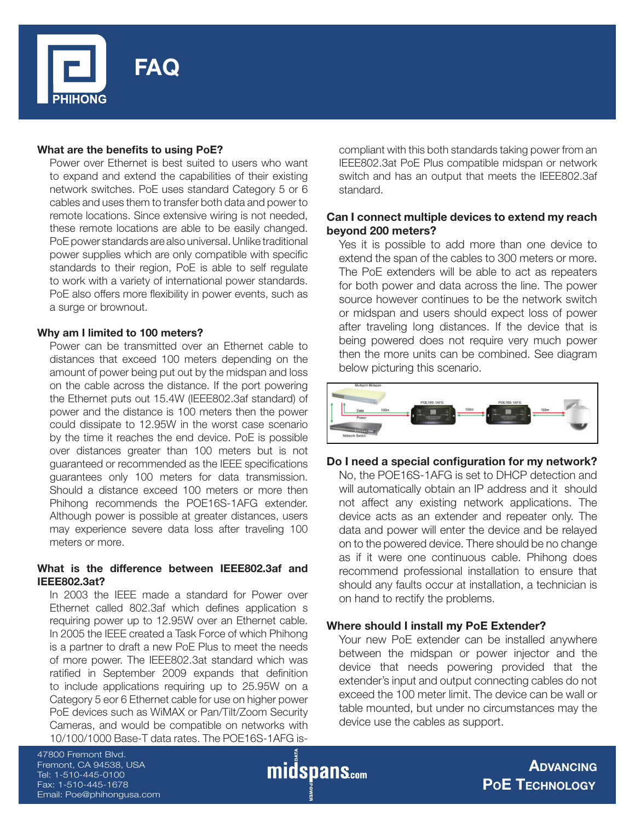

### **What are the benefits to using PoE?**

Power over Ethernet is best suited to users who want to expand and extend the capabilities of their existing network switches. PoE uses standard Category 5 or 6 cables and uses them to transfer both data and power to remote locations. Since extensive wiring is not needed, these remote locations are able to be easily changed. PoE power standards are also universal. Unlike traditional power supplies which are only compatible with specific standards to their region, PoE is able to self regulate to work with a variety of international power standards. PoE also offers more flexibility in power events, such as a surge or brownout.

#### **Why am I limited to 100 meters?**

Power can be transmitted over an Ethernet cable to distances that exceed 100 meters depending on the amount of power being put out by the midspan and loss on the cable across the distance. If the port powering the Ethernet puts out 15.4W (IEEE802.3af standard) of power and the distance is 100 meters then the power could dissipate to 12.95W in the worst case scenario by the time it reaches the end device. PoE is possible over distances greater than 100 meters but is not guaranteed or recommended as the IEEE specifications guarantees only 100 meters for data transmission. Should a distance exceed 100 meters or more then Phihong recommends the POE16S-1AFG extender. Although power is possible at greater distances, users may experience severe data loss after traveling 100 meters or more.

### **What is the difference between IEEE802.3af and IEEE802.3at?**

In 2003 the IEEE made a standard for Power over Ethernet called 802.3af which defines application s requiring power up to 12.95W over an Ethernet cable. In 2005 the IEEE created a Task Force of which Phihong is a partner to draft a new PoE Plus to meet the needs of more power. The IEEE802.3at standard which was ratified in September 2009 expands that definition to include applications requiring up to 25.95W on a Category 5 eor 6 Ethernet cable for use on higher power PoE devices such as WiMAX or Pan/Tilt/Zoom Security Cameras, and would be compatible on networks with 10/100/1000 Base-T data rates. The POE16S-1AFG iscompliant with this both standards taking power from an IEEE802.3at PoE Plus compatible midspan or network switch and has an output that meets the IEEE802.3af standard.

## **Can I connect multiple devices to extend my reach beyond 200 meters?**

Yes it is possible to add more than one device to extend the span of the cables to 300 meters or more. The PoE extenders will be able to act as repeaters for both power and data across the line. The power source however continues to be the network switch or midspan and users should expect loss of power after traveling long distances. If the device that is being powered does not require very much power then the more units can be combined. See diagram below picturing this scenario.



### Do I need a special configuration for my network?

No, the POE16S-1AFG is set to DHCP detection and will automatically obtain an IP address and it should not affect any existing network applications. The device acts as an extender and repeater only. The data and power will enter the device and be relayed on to the powered device. There should be no change as if it were one continuous cable. Phihong does recommend professional installation to ensure that should any faults occur at installation, a technician is on hand to rectify the problems.

### **Where should I install my PoE Extender?**

Your new PoE extender can be installed anywhere between the midspan or power injector and the device that needs powering provided that the extender's input and output connecting cables do not exceed the 100 meter limit. The device can be wall or table mounted, but under no circumstances may the device use the cables as support.

47800 Fremont Blvd. Fremont, CA 94538, USA Tel: 1-510-445-0100 Fax: 1-510-445-1678 Email: Poe@phihongusa.com